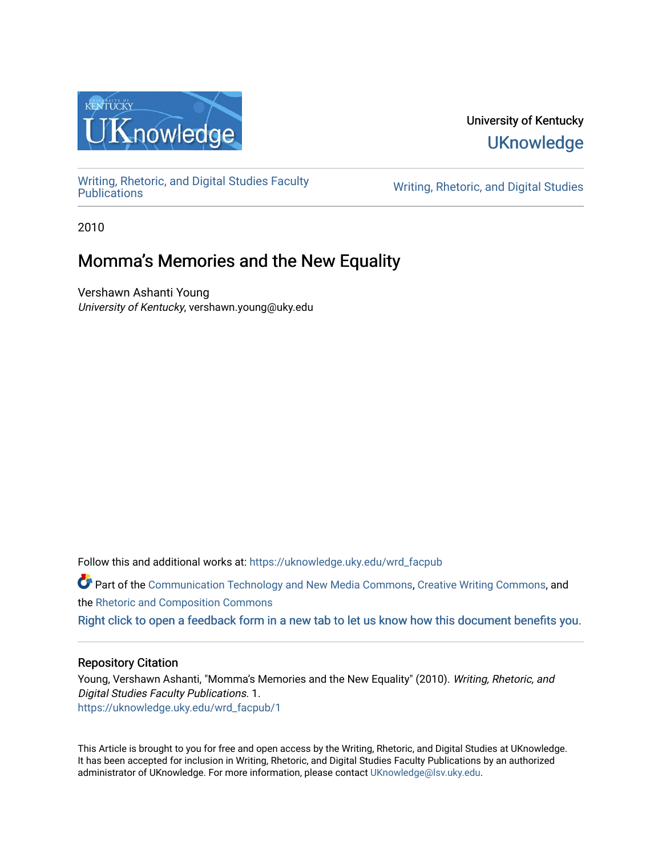

### University of Kentucky **UKnowledge**

[Writing, Rhetoric, and Digital Studies Faculty](https://uknowledge.uky.edu/wrd_facpub) 

Writing, Rhetoric, and Digital Studies

2010

## Momma's Memories and the New Equality

Vershawn Ashanti Young University of Kentucky, vershawn.young@uky.edu

Follow this and additional works at: [https://uknowledge.uky.edu/wrd\\_facpub](https://uknowledge.uky.edu/wrd_facpub?utm_source=uknowledge.uky.edu%2Fwrd_facpub%2F1&utm_medium=PDF&utm_campaign=PDFCoverPages)

Part of the [Communication Technology and New Media Commons,](http://network.bepress.com/hgg/discipline/327?utm_source=uknowledge.uky.edu%2Fwrd_facpub%2F1&utm_medium=PDF&utm_campaign=PDFCoverPages) [Creative Writing Commons](http://network.bepress.com/hgg/discipline/574?utm_source=uknowledge.uky.edu%2Fwrd_facpub%2F1&utm_medium=PDF&utm_campaign=PDFCoverPages), and the [Rhetoric and Composition Commons](http://network.bepress.com/hgg/discipline/573?utm_source=uknowledge.uky.edu%2Fwrd_facpub%2F1&utm_medium=PDF&utm_campaign=PDFCoverPages)

[Right click to open a feedback form in a new tab to let us know how this document benefits you.](https://uky.az1.qualtrics.com/jfe/form/SV_9mq8fx2GnONRfz7)

### Repository Citation

Young, Vershawn Ashanti, "Momma's Memories and the New Equality" (2010). Writing, Rhetoric, and Digital Studies Faculty Publications. 1. [https://uknowledge.uky.edu/wrd\\_facpub/1](https://uknowledge.uky.edu/wrd_facpub/1?utm_source=uknowledge.uky.edu%2Fwrd_facpub%2F1&utm_medium=PDF&utm_campaign=PDFCoverPages)

This Article is brought to you for free and open access by the Writing, Rhetoric, and Digital Studies at UKnowledge. It has been accepted for inclusion in Writing, Rhetoric, and Digital Studies Faculty Publications by an authorized administrator of UKnowledge. For more information, please contact [UKnowledge@lsv.uky.edu](mailto:UKnowledge@lsv.uky.edu).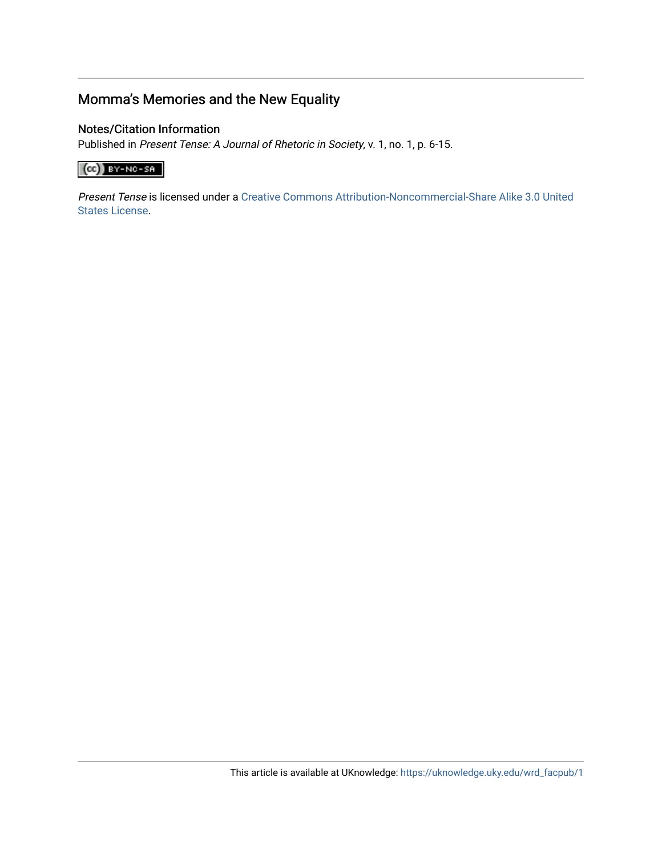### Momma's Memories and the New Equality

### Notes/Citation Information

Published in Present Tense: A Journal of Rhetoric in Society, v. 1, no. 1, p. 6-15.

### $\left(\text{cc}\right)$  BY-NC-SR

Present Tense is licensed under a [Creative Commons Attribution-Noncommercial-Share Alike 3.0 United](http://creativecommons.org/licenses/by-nc-sa/3.0/us/)  [States License](http://creativecommons.org/licenses/by-nc-sa/3.0/us/).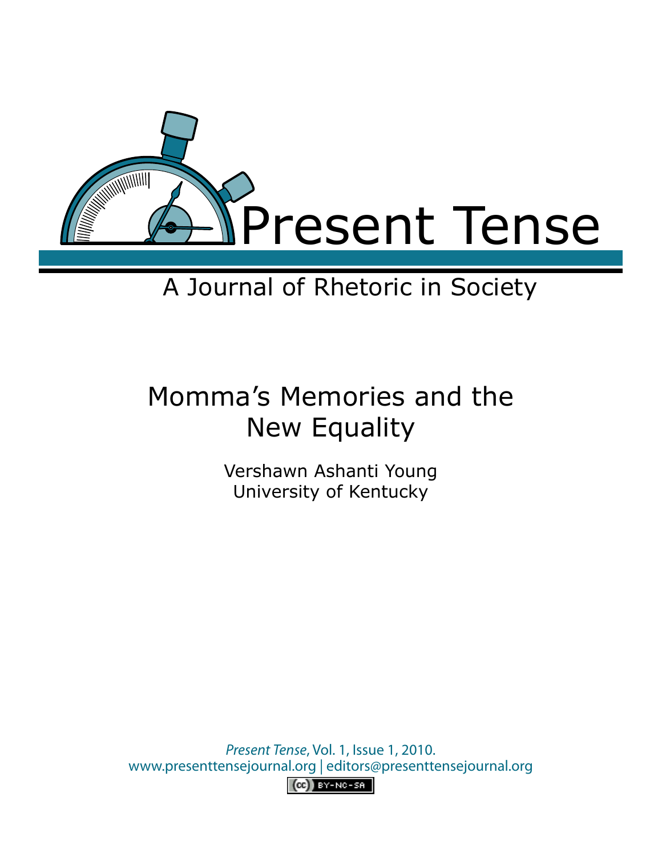

# A Journal of Rhetoric in Society

# Momma's Memories and the New Equality

Vershawn Ashanti Young University of Kentucky

*Present Tense*, Vol. 1, Issue 1, 2010. www.presenttensejournal.org | editors@presenttensejournal.org  $(c)$  BY-NC-SA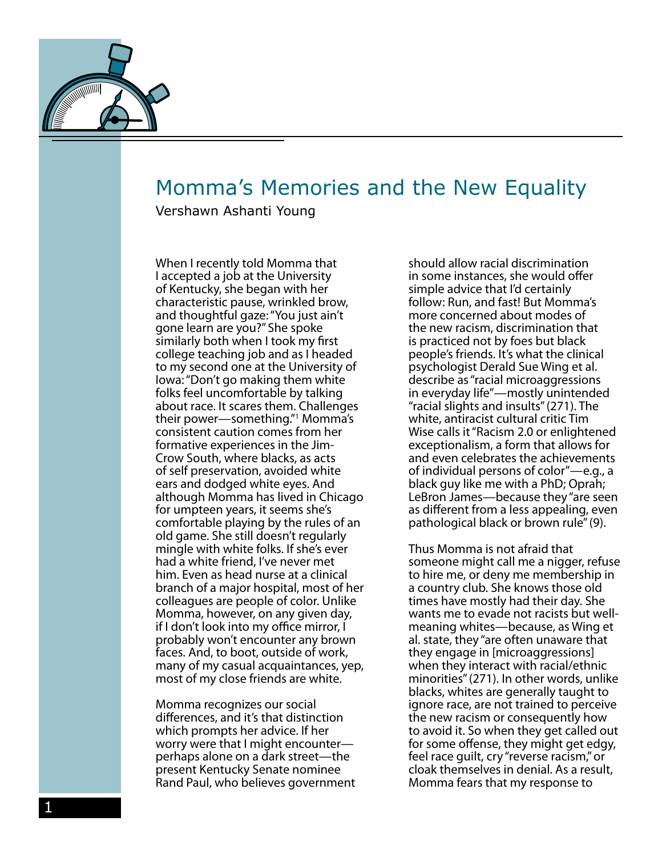

## Momma's Memories and the New Equality

Vershawn Ashanti Young

When I recently told Momma that I accepted a job at the University of Kentucky, she began with her characteristic pause, wrinkled brow, and thoughtful gaze: "You just ain't gone learn are you?" She spoke similarly both when I took my first college teaching job and as I headed to my second one at the University of Iowa: "Don't go making them white folks feel uncomfortable by talking about race. It scares them. Challenges their power—something."1 Momma's consistent caution comes from her formative experiences in the Jim-Crow South, where blacks, as acts of self preservation, avoided white ears and dodged white eyes. And although Momma has lived in Chicago for umpteen years, it seems she's comfortable playing by the rules of an old game. She still doesn't regularly mingle with white folks. If she's ever had a white friend, I've never met him. Even as head nurse at a clinical branch of a major hospital, most of her colleagues are people of color. Unlike Momma, however, on any given day, if I don't look into my office mirror, I probably won't encounter any brown faces. And, to boot, outside of work, many of my casual acquaintances, yep, most of my close friends are white.

Momma recognizes our social differences, and it's that distinction which prompts her advice. If her worry were that I might encounter perhaps alone on a dark street—the present Kentucky Senate nominee Rand Paul, who believes government should allow racial discrimination in some instances, she would offer simple advice that I'd certainly follow: Run, and fast! But Momma's more concerned about modes of the new racism, discrimination that is practiced not by foes but black people's friends. It's what the clinical psychologist Derald Sue Wing et al. describe as "racial microaggressions in everyday life"—mostly unintended "racial slights and insults" (271). The white, antiracist cultural critic Tim Wise calls it "Racism 2.0 or enlightened exceptionalism, a form that allows for and even celebrates the achievements of individual persons of color"—e.g., a black guy like me with a PhD; Oprah; LeBron James—because they "are seen as different from a less appealing, even pathological black or brown rule" (9).

Thus Momma is not afraid that someone might call me a nigger, refuse to hire me, or deny me membership in a country club. She knows those old times have mostly had their day. She wants me to evade not racists but wellmeaning whites—because, as Wing et al. state, they "are often unaware that they engage in [microaggressions] when they interact with racial/ethnic minorities" (271). In other words, unlike blacks, whites are generally taught to ignore race, are not trained to perceive the new racism or consequently how to avoid it. So when they get called out for some offense, they might get edgy, feel race guilt, cry "reverse racism," or cloak themselves in denial. As a result, Momma fears that my response to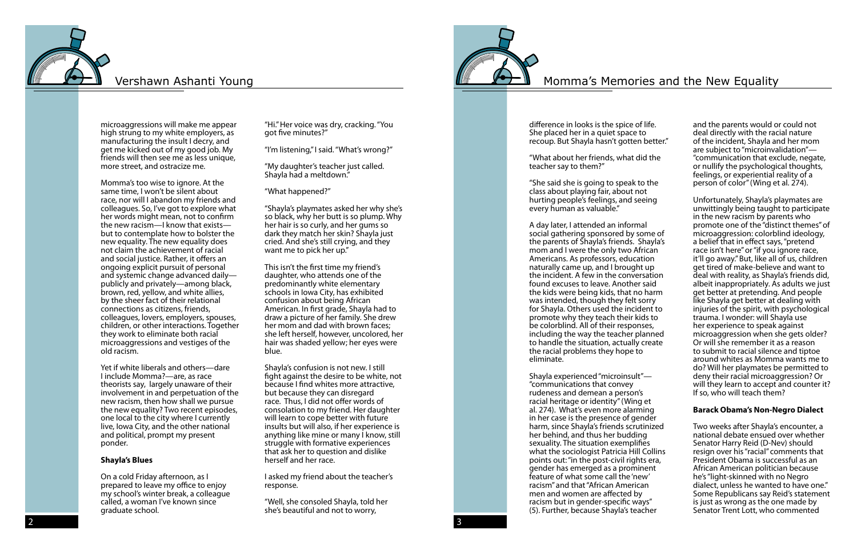### Vershawn Ashanti Young The Most Community Constraints and the New Equality



microaggressions will make me appear high strung to my white employers, as manufacturing the insult I decry, and get me kicked out of my good job. My friends will then see me as less unique, more street, and ostracize me.

Momma's too wise to ignore. At the same time, I won't be silent about race, nor will I abandon my friends and colleagues. So, I've got to explore what her words might mean, not to confirm the new racism—I know that exists but to contemplate how to bolster the new equality. The new equality does not claim the achievement of racial and social justice. Rather, it offers an ongoing explicit pursuit of personal and systemic change advanced daily publicly and privately—among black, brown, red, yellow, and white allies, by the sheer fact of their relational connections as citizens, friends, colleagues, lovers, employers, spouses, children, or other interactions. Together they work to eliminate both racial microaggressions and vestiges of the old racism.

Yet if white liberals and others—dare I include Momma?—are, as race theorists say, largely unaware of their involvement in and perpetuation of the new racism, then how shall we pursue the new equality? Two recent episodes, one local to the city where I currently live, Iowa City, and the other national and political, prompt my present ponder.

#### **Shayla's Blues**

On a cold Friday afternoon, as I prepared to leave my office to enjoy my school's winter break, a colleague called, a woman I've known since graduate school.

"Hi." Her voice was dry, cracking. "You got five minutes?"

"I'm listening," I said. "What's wrong?"

"My daughter's teacher just called. Shayla had a meltdown."

"What happened?"

"Shayla's playmates asked her why she's so black, why her butt is so plump. Why her hair is so curly, and her gums so dark they match her skin? Shayla just cried. And she's still crying, and they want me to pick her up."

This isn't the first time my friend's daughter, who attends one of the predominantly white elementary schools in Iowa City, has exhibited confusion about being African American. In first grade, Shayla had to draw a picture of her family. She drew her mom and dad with brown faces; she left herself, however, uncolored, her hair was shaded yellow; her eyes were blue.

Shayla's confusion is not new. I still fight against the desire to be white, not because I find whites more attractive, but because they can disregard race. Thus, I did not offer words of consolation to my friend. Her daughter will learn to cope better with future insults but will also, if her experience is anything like mine or many I know, still struggle with formative experiences that ask her to question and dislike herself and her race.

I asked my friend about the teacher's response.

"Well, she consoled Shayla, told her she's beautiful and not to worry,



difference in looks is the spice of life. She placed her in a quiet space to recoup. But Shayla hasn't gotten better."

"What about her friends, what did the teacher say to them?"

"She said she is going to speak to the class about playing fair, about not hurting people's feelings, and seeing every human as valuable."

A day later, I attended an informal social gathering sponsored by some of the parents of Shayla's friends. Shayla's mom and I were the only two African Americans. As professors, education naturally came up, and I brought up the incident. A few in the conversation found excuses to leave. Another said the kids were being kids, that no harm was intended, though they felt sorry for Shayla. Others used the incident to promote why they teach their kids to be colorblind. All of their responses, including the way the teacher planned to handle the situation, actually create the racial problems they hope to eliminate.

Shayla experienced "microinsult"— "communications that convey rudeness and demean a person's racial heritage or identity" (Wing et al. 274). What's even more alarming in her case is the presence of gender harm, since Shayla's friends scrutinized her behind, and thus her budding sexuality. The situation exemplifies what the sociologist Patricia Hill Collins points out: "in the post-civil rights era, gender has emerged as a prominent feature of what some call the 'new' racism" and that "African American men and women are affected by racism but in gender-specific ways" (5). Further, because Shayla's teacher

and the parents would or could not deal directly with the racial nature of the incident, Shayla and her mom are subject to "microinvalidation"— "communication that exclude, negate, or nullify the psychological thoughts, feelings, or experiential reality of a person of color" (Wing et al. 274).

Unfortunately, Shayla's playmates are unwittingly being taught to participate in the new racism by parents who promote one of the "distinct themes" of microaggression: colorblind ideology, a belief that in effect says, "pretend race isn't here" or "if you ignore race, it'll go away." But, like all of us, children get tired of make-believe and want to deal with reality, as Shayla's friends did, albeit inappropriately. As adults we just get better at pretending. And people like Shayla get better at dealing with injuries of the spirit, with psychological trauma. I wonder: will Shayla use her experience to speak against microaggression when she gets older? Or will she remember it as a reason to submit to racial silence and tiptoe around whites as Momma wants me to do? Will her playmates be permitted to deny their racial microaggression? Or will they learn to accept and counter it? If so, who will teach them?

#### **Barack Obama's Non-Negro Dialect**

Two weeks after Shayla's encounter, a national debate ensued over whether Senator Harry Reid (D-Nev) should resign over his "racial" comments that President Obama is successful as an African American politician because he's "light-skinned with no Negro dialect, unless he wanted to have one." Some Republicans say Reid's statement is just as wrong as the one made by Senator Trent Lott, who commented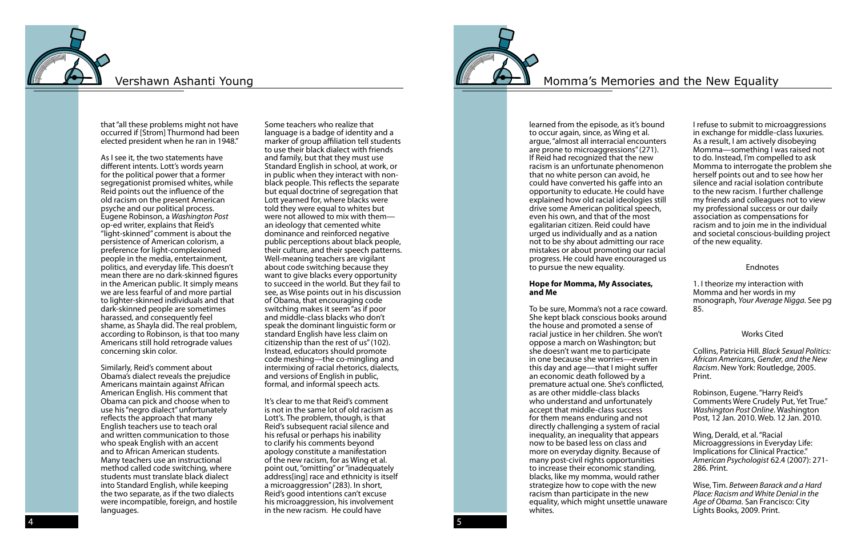### Vershawn Ashanti Young The Most Community Constraints and the New Equality



that "all these problems might not have occurred if [Strom] Thurmond had been elected president when he ran in 1948."

As I see it, the two statements have different intents. Lott's words yearn for the political power that a former segregationist promised whites, while Reid points out the influence of the old racism on the present American psyche and our political process. Eugene Robinson, a *Washington Post* op-ed writer, explains that Reid's "light-skinned" comment is about the persistence of American colorism, a preference for light-complexioned people in the media, entertainment, politics, and everyday life. This doesn't mean there are no dark-skinned figures in the American public. It simply means we are less fearful of and more partial to lighter-skinned individuals and that dark-skinned people are sometimes harassed, and consequently feel shame, as Shayla did. The real problem, according to Robinson, is that too many Americans still hold retrograde values concerning skin color.

Similarly, Reid's comment about Obama's dialect reveals the prejudice Americans maintain against African American English. His comment that Obama can pick and choose when to use his "negro dialect" unfortunately reflects the approach that many English teachers use to teach oral and written communication to those who speak English with an accent and to African American students. Many teachers use an instructional method called code switching, where students must translate black dialect into Standard English, while keeping the two separate, as if the two dialects were incompatible, foreign, and hostile languages.

Some teachers who realize that language is a badge of identity and a marker of group affiliation tell students to use their black dialect with friends and family, but that they must use Standard English in school, at work, or in public when they interact with nonblack people. This reflects the separate but equal doctrine of segregation that Lott yearned for, where blacks were told they were equal to whites but were not allowed to mix with them an ideology that cemented white dominance and reinforced negative public perceptions about black people, their culture, and their speech patterns. Well-meaning teachers are vigilant about code switching because they want to give blacks every opportunity to succeed in the world. But they fail to see, as Wise points out in his discussion of Obama, that encouraging code switching makes it seem "as if poor and middle-class blacks who don't speak the dominant linguistic form or standard English have less claim on citizenship than the rest of us" (102). Instead, educators should promote code meshing—the co-mingling and intermixing of racial rhetorics, dialects, and versions of English in public, formal, and informal speech acts.

It's clear to me that Reid's comment is not in the same lot of old racism as Lott's. The problem, though, is that Reid's subsequent racial silence and his refusal or perhaps his inability to clarify his comments beyond apology constitute a manifestation of the new racism, for as Wing et al. point out, "omitting" or "inadequately address[ing] race and ethnicity is itself a microaggression" (283). In short, Reid's good intentions can't excuse his microaggression, his involvement in the new racism. He could have



learned from the episode, as it's bound to occur again, since, as Wing et al. argue, "almost all interracial encounters are prone to microaggressions" (271). If Reid had recognized that the new racism is an unfortunate phenomenon that no white person can avoid, he could have converted his gaffe into an opportunity to educate. He could have explained how old racial ideologies still drive some American political speech, even his own, and that of the most egalitarian citizen. Reid could have urged us individually and as a nation not to be shy about admitting our race mistakes or about promoting our racial progress. He could have encouraged us to pursue the new equality.

#### **Hope for Momma, My Associates, and Me**

To be sure, Momma's not a race coward. She kept black conscious books around the house and promoted a sense of racial justice in her children. She won't oppose a march on Washington; but she doesn't want me to participate in one because she worries—even in this day and age—that I might suffer an economic death followed by a premature actual one. She's conflicted, as are other middle-class blacks who understand and unfortunately accept that middle-class success for them means enduring and not directly challenging a system of racial inequality, an inequality that appears now to be based less on class and more on everyday dignity. Because of many post-civil rights opportunities to increase their economic standing, blacks, like my momma, would rather strategize how to cope with the new racism than participate in the new equality, which might unsettle unaware whites.

I refuse to submit to microaggressions in exchange for middle-class luxuries. As a result, I am actively disobeying Momma—something I was raised not to do. Instead, I'm compelled to ask Momma to interrogate the problem she herself points out and to see how her silence and racial isolation contribute to the new racism. I further challenge my friends and colleagues not to view my professional success or our daily association as compensations for racism and to join me in the individual and societal conscious-building project of the new equality.

#### Endnotes

1. I theorize my interaction with Momma and her words in my monograph, *Your Average Nigga*. See pg 85.

### Works Cited

Collins, Patricia Hill. *Black Sexual Politics: African Americans, Gender, and the New Racism*. New York: Routledge, 2005. Print.

Robinson, Eugene. "Harry Reid's Comments Were Crudely Put, Yet True." *Washington Post Online*. Washington Post, 12 Jan. 2010. Web. 12 Jan. 2010.

Wing, Derald, et al. "Racial Microaggressions in Everyday Life: Implications for Clinical Practice." *American Psychologist* 62.4 (2007): 271- 286. Print.

Wise, Tim. *Between Barack and a Hard Place: Racism and White Denial in the Age of Obama*. San Francisco: City Lights Books, 2009. Print.